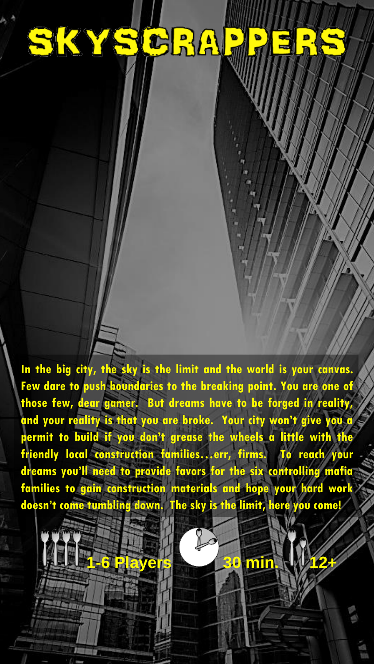# SKYSCRAF

**In the big city, the sky is the limit and the world is your canvas. Few dare to push boundaries to the breaking point. You are one of those few, dear gamer. But dreams have to be forged in reality, and your reality is that you are broke. Your city won't give you a permit to build if you don't grease the wheels a little with the friendly local construction families…err, firms. To reach your dreams you'll need to provide favors for the six controlling mafia families to gain construction materials and hope your hard work doesn't come tumbling down. The sky is the limit, here you come!**



**1-6 Players 30 min. 12+**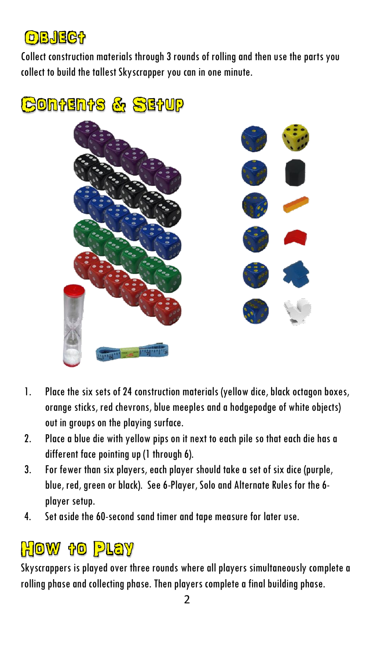### OBJECT

Collect construction materials through 3 rounds of rolling and then use the parts you collect to build the tallest Skyscrapper you can in one minute.

CONTENTS & SETUP



- 1. Place the six sets of 24 construction materials (yellow dice, black octagon boxes, orange sticks, red chevrons, blue meeples and a hodgepodge of white objects) out in groups on the playing surface.
- 2. Place a blue die with yellow pips on it next to each pile so that each die has a different face pointing up (1 through 6).
- 3. For fewer than six players, each player should take a set of six dice (purple, blue, red, green or black). See 6-Player, Soloand Alternate Rules for the 6 player setup.
- 4. Set aside the 60-second sand timer and tape measure for later use.

# **How to Play**

Skyscrappers is played over three rounds where all players simultaneously complete a rolling phase and collecting phase. Then players complete a final building phase.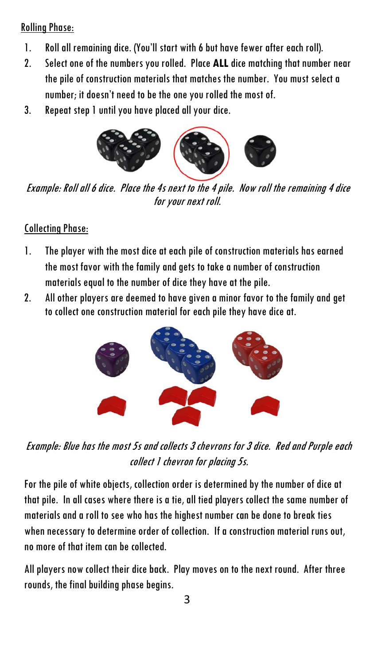#### Rolling Phase:

- 1. Roll all remaining dice. (You'll start with 6 but have fewer after each roll).
- 2. Select one of the numbers you rolled. Place **ALL** dice matching that number near the pile of construction materials that matches the number. You must select a number; it doesn't need to be the one you rolled the most of.
- 3. Repeat step 1 until you have placed all your dice.



Example: Roll all 6 dice. Place the 4s next to the 4 pile. Now roll the remaining 4 dice for your next roll.

#### Collecting Phase:

- 1. The player with the most dice at each pile of construction materials has earned the most favor with the family and gets to take a number of construction materials equal to the number of dice they have at the pile.
- 2. All other players are deemed to have given a minor favor to the family and get to collect one construction material for each pile they have dice at.



Example: Blue has the most 5s and collects 3 chevrons for 3 dice. Red and Purple each collect 1 chevron for placing 5s.

For the pile of white objects, collection order is determined by the number of dice at that pile. In all cases where there is a tie, all tied players collect the same number of materials and a roll to see who has the highest number can be done to break ties when necessary to determine order of collection. If a construction material runs out, no more of that item can be collected.

All players now collect their dice back. Play moves on to the next round. After three rounds, the final building phase begins.